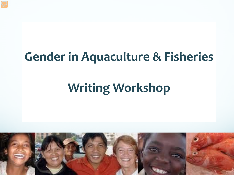#### **Gender in Aquaculture & Fisheries**

## **Writing Workshop**

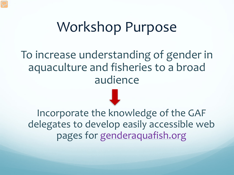#### Workshop Purpose

To increase understanding of gender in aquaculture and fisheries to a broad audience

Incorporate the knowledge of the GAF delegates to develop easily accessible web pages for [genderaquafish.org](http://genderaquafish.org/)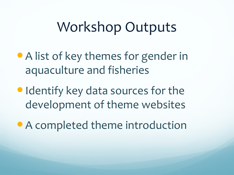### Workshop Outputs

- A list of key themes for gender in aquaculture and fisheries
- Identify key data sources for the development of theme websites
- A completed theme introduction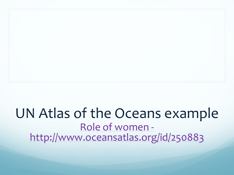# UN Atlas of the Oceans example [Role of women -](http://www.oceansatlas.org/servlet/CDSServlet?status=ND0yNTA4ODMmNj1lbiYzMz0qJjM3PWtvcw%7E%7E)<br><http://www.oceansatlas.org/id/250883>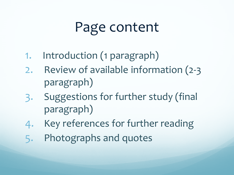## Page content

- 1. Introduction (1 paragraph)
- 2. Review of available information (2-3 paragraph)
- 3. Suggestions for further study (final paragraph)
- 4. Key references for further reading
- 5. Photographs and quotes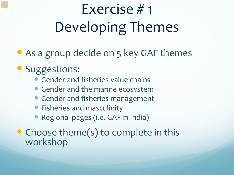# Exercise # 1 Developing Themes

• As a group decide on 5 key GAF themes

#### **Suggestions:**

- Gender and fisheries value chains
- Gender and the marine ecosystem
- Gender and fisheries management
- **•** Fisheries and masculinity
- Regional pages (i.e. GAF in India)
- Choose theme(s) to complete in this workshop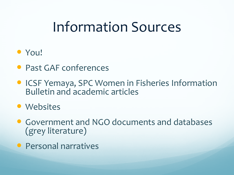### Information Sources

#### • You!

- Past GAF conferences
- **ICSF Yemaya, SPC Women in Fisheries Information** Bulletin and academic articles

• Websites

- Government and NGO documents and databases (grey literature)
- **Personal narratives**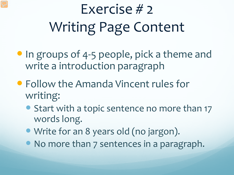# Exercise # 2 Writing Page Content

- In groups of 4-5 people, pick a theme and write a introduction paragraph
- Follow the Amanda Vincent rules for writing:
	- Start with a topic sentence no more than 17 words long.
	- Write for an 8 years old (no jargon).
	- No more than 7 sentences in a paragraph.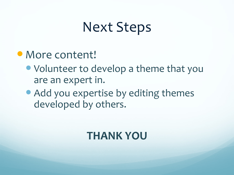### Next Steps

- More content!
	- Volunteer to develop a theme that you are an expert in.
	- Add you expertise by editing themes developed by others.

#### **THANK YOU**